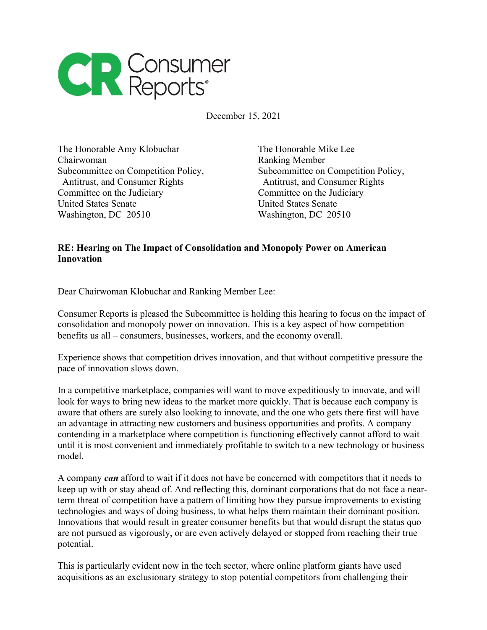

December 15, 2021

The Honorable Amy Klobuchar The Honorable Mike Lee Chairwoman **Ranking Member** Subcommittee on Competition Policy, Subcommittee on Competition Policy, Antitrust, and Consumer Rights Antitrust, and Consumer Rights Committee on the Judiciary Committee on the Judiciary United States Senate United States Senate Washington, DC 20510 Washington, DC 20510

## **RE: Hearing on The Impact of Consolidation and Monopoly Power on American Innovation**

Dear Chairwoman Klobuchar and Ranking Member Lee:

Consumer Reports is pleased the Subcommittee is holding this hearing to focus on the impact of consolidation and monopoly power on innovation. This is a key aspect of how competition benefits us all – consumers, businesses, workers, and the economy overall.

Experience shows that competition drives innovation, and that without competitive pressure the pace of innovation slows down.

In a competitive marketplace, companies will want to move expeditiously to innovate, and will look for ways to bring new ideas to the market more quickly. That is because each company is aware that others are surely also looking to innovate, and the one who gets there first will have an advantage in attracting new customers and business opportunities and profits. A company contending in a marketplace where competition is functioning effectively cannot afford to wait until it is most convenient and immediately profitable to switch to a new technology or business model.

A company *can* afford to wait if it does not have be concerned with competitors that it needs to keep up with or stay ahead of. And reflecting this, dominant corporations that do not face a nearterm threat of competition have a pattern of limiting how they pursue improvements to existing technologies and ways of doing business, to what helps them maintain their dominant position. Innovations that would result in greater consumer benefits but that would disrupt the status quo are not pursued as vigorously, or are even actively delayed or stopped from reaching their true potential.

This is particularly evident now in the tech sector, where online platform giants have used acquisitions as an exclusionary strategy to stop potential competitors from challenging their